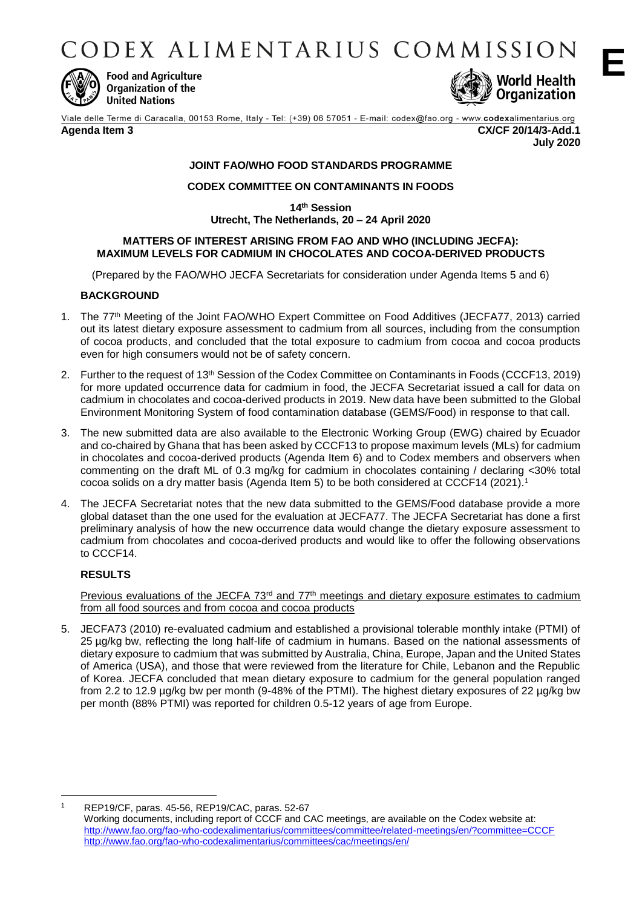CODEX ALIMENTARIUS COMMISSION



**Food and Agriculture Organization of the United Nations** 



**E**

Viale delle Terme di Caracalla, 00153 Rome, Italy - Tel: (+39) 06 57051 - E-mail: codex@fao.org - www.codexalimentarius.org **Agenda Item 3 CX/CF 20/14/3-Add.1 July 2020**

## **JOINT FAO/WHO FOOD STANDARDS PROGRAMME**

## **CODEX COMMITTEE ON CONTAMINANTS IN FOODS**

**14 th Session**

# **Utrecht, The Netherlands, 20 – 24 April 2020**

## **MATTERS OF INTEREST ARISING FROM FAO AND WHO (INCLUDING JECFA): MAXIMUM LEVELS FOR CADMIUM IN CHOCOLATES AND COCOA-DERIVED PRODUCTS**

(Prepared by the FAO/WHO JECFA Secretariats for consideration under Agenda Items 5 and 6)

## **BACKGROUND**

- 1. The 77th Meeting of the Joint FAO/WHO Expert Committee on Food Additives (JECFA77, 2013) carried out its latest dietary exposure assessment to cadmium from all sources, including from the consumption of cocoa products, and concluded that the total exposure to cadmium from cocoa and cocoa products even for high consumers would not be of safety concern.
- 2. Further to the request of 13th Session of the Codex Committee on Contaminants in Foods (CCCF13, 2019) for more updated occurrence data for cadmium in food, the JECFA Secretariat issued a call for data on cadmium in chocolates and cocoa-derived products in 2019. New data have been submitted to the Global Environment Monitoring System of food contamination database (GEMS/Food) in response to that call.
- 3. The new submitted data are also available to the Electronic Working Group (EWG) chaired by Ecuador and co-chaired by Ghana that has been asked by CCCF13 to propose maximum levels (MLs) for cadmium in chocolates and cocoa-derived products (Agenda Item 6) and to Codex members and observers when commenting on the draft ML of 0.3 mg/kg for cadmium in chocolates containing / declaring <30% total cocoa solids on a dry matter basis (Agenda Item 5) to be both considered at CCCF14 (2021). 1
- 4. The JECFA Secretariat notes that the new data submitted to the GEMS/Food database provide a more global dataset than the one used for the evaluation at JECFA77. The JECFA Secretariat has done a first preliminary analysis of how the new occurrence data would change the dietary exposure assessment to cadmium from chocolates and cocoa-derived products and would like to offer the following observations to CCCF14.

## **RESULTS**

Previous evaluations of the JECFA 73<sup>rd</sup> and 77<sup>th</sup> meetings and dietary exposure estimates to cadmium from all food sources and from cocoa and cocoa products

5. JECFA73 (2010) re-evaluated cadmium and established a provisional tolerable monthly intake (PTMI) of 25 µg/kg bw, reflecting the long half-life of cadmium in humans. Based on the national assessments of dietary exposure to cadmium that was submitted by Australia, China, Europe, Japan and the United States of America (USA), and those that were reviewed from the literature for Chile, Lebanon and the Republic of Korea. JECFA concluded that mean dietary exposure to cadmium for the general population ranged from 2.2 to 12.9 µg/kg bw per month (9-48% of the PTMI). The highest dietary exposures of 22 µg/kg bw per month (88% PTMI) was reported for children 0.5-12 years of age from Europe.

 $\overline{a}$ <sup>1</sup> REP19/CF, paras. 45-56, REP19/CAC, paras. 52-67 Working documents, including report of CCCF and CAC meetings, are available on the Codex website at: <http://www.fao.org/fao-who-codexalimentarius/committees/committee/related-meetings/en/?committee=CCCF> <http://www.fao.org/fao-who-codexalimentarius/committees/cac/meetings/en/>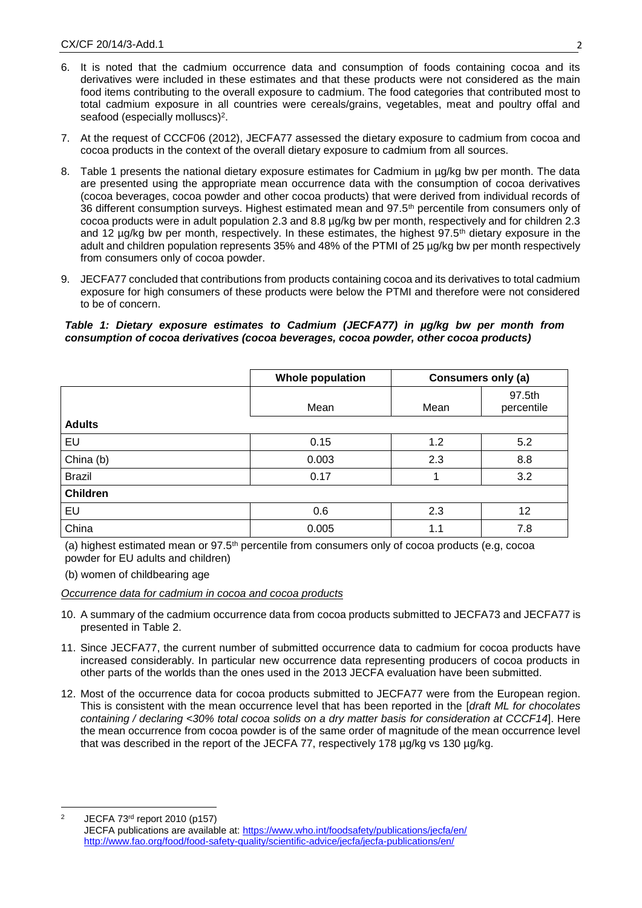- 6. It is noted that the cadmium occurrence data and consumption of foods containing cocoa and its derivatives were included in these estimates and that these products were not considered as the main food items contributing to the overall exposure to cadmium. The food categories that contributed most to total cadmium exposure in all countries were cereals/grains, vegetables, meat and poultry offal and seafood (especially molluscs)<sup>2</sup>.
- 7. At the request of CCCF06 (2012), JECFA77 assessed the dietary exposure to cadmium from cocoa and cocoa products in the context of the overall dietary exposure to cadmium from all sources.
- 8. Table 1 presents the national dietary exposure estimates for Cadmium in µg/kg bw per month. The data are presented using the appropriate mean occurrence data with the consumption of cocoa derivatives (cocoa beverages, cocoa powder and other cocoa products) that were derived from individual records of 36 different consumption surveys. Highest estimated mean and 97.5<sup>th</sup> percentile from consumers only of cocoa products were in adult population 2.3 and 8.8 µg/kg bw per month, respectively and for children 2.3 and 12 µg/kg bw per month, respectively. In these estimates, the highest 97.5<sup>th</sup> dietary exposure in the adult and children population represents 35% and 48% of the PTMI of 25 µg/kg bw per month respectively from consumers only of cocoa powder.
- 9. JECFA77 concluded that contributions from products containing cocoa and its derivatives to total cadmium exposure for high consumers of these products were below the PTMI and therefore were not considered to be of concern.

#### *Table 1: Dietary exposure estimates to Cadmium (JECFA77) in µg/kg bw per month from consumption of cocoa derivatives (cocoa beverages, cocoa powder, other cocoa products)*

|                 | <b>Whole population</b> | Consumers only (a) |                      |
|-----------------|-------------------------|--------------------|----------------------|
|                 | Mean                    | Mean               | 97.5th<br>percentile |
| <b>Adults</b>   |                         |                    |                      |
| EU              | 0.15                    | 1.2                | 5.2                  |
| China (b)       | 0.003                   | 2.3                | 8.8                  |
| <b>Brazil</b>   | 0.17                    |                    | 3.2                  |
| <b>Children</b> |                         |                    |                      |
| EU              | 0.6                     | 2.3                | 12                   |
| China           | 0.005                   | 1.1                | 7.8                  |

(a) highest estimated mean or 97.5th percentile from consumers only of cocoa products (e.g, cocoa powder for EU adults and children)

(b) women of childbearing age

*Occurrence data for cadmium in cocoa and cocoa products*

- 10. A summary of the cadmium occurrence data from cocoa products submitted to JECFA73 and JECFA77 is presented in Table 2.
- 11. Since JECFA77, the current number of submitted occurrence data to cadmium for cocoa products have increased considerably. In particular new occurrence data representing producers of cocoa products in other parts of the worlds than the ones used in the 2013 JECFA evaluation have been submitted.
- 12. Most of the occurrence data for cocoa products submitted to JECFA77 were from the European region. This is consistent with the mean occurrence level that has been reported in the [*draft ML for chocolates containing / declaring <30% total cocoa solids on a dry matter basis for consideration at CCCF14*]. Here the mean occurrence from cocoa powder is of the same order of magnitude of the mean occurrence level that was described in the report of the JECFA 77, respectively 178 ug/kg vs 130 ug/kg.

<sup>&</sup>lt;u>.</u> <sup>2</sup> JECFA 73rd report 2010 (p157)

JECFA publications are available at:<https://www.who.int/foodsafety/publications/jecfa/en/> <http://www.fao.org/food/food-safety-quality/scientific-advice/jecfa/jecfa-publications/en/>